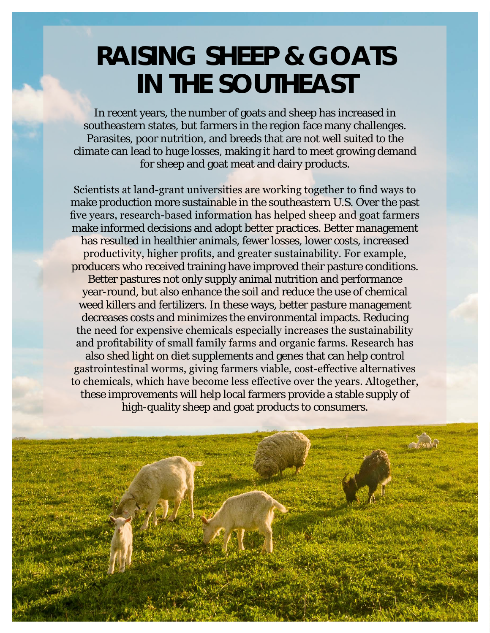## **RAISING SHEEP & GOATS IN THE SOUTHEAST**

In recent years, the number of goats and sheep has increased in southeastern states, but farmers in the region face many challenges. Parasites, poor nutrition, and breeds that are not well suited to the climate can lead to huge losses, making it hard to meet growing demand for sheep and goat meat and dairy products.

Scientists at land-grant universities are working together to find ways to make production more sustainable in the southeastern U.S. Over the past five years, research-based information has helped sheep and goat farmers make informed decisions and adopt better practices. Better management has resulted in healthier animals, fewer losses, lower costs, increased productivity, higher profits, and greater sustainability. For example, producers who received training have improved their pasture conditions. Better pastures not only supply animal nutrition and performance year-round, but also enhance the soil and reduce the use of chemical weed killers and fertilizers. In these ways, better pasture management decreases costs and minimizes the environmental impacts. Reducing the need for expensive chemicals especially increases the sustainability and profitability of small family farms and organic farms. Research has also shed light on diet supplements and genes that can help control gastrointestinal worms, giving farmers viable, cost-effective alternatives to chemicals, which have become less effective over the years. Altogether, these improvements will help local farmers provide a stable supply of high-quality sheep and goat products to consumers.